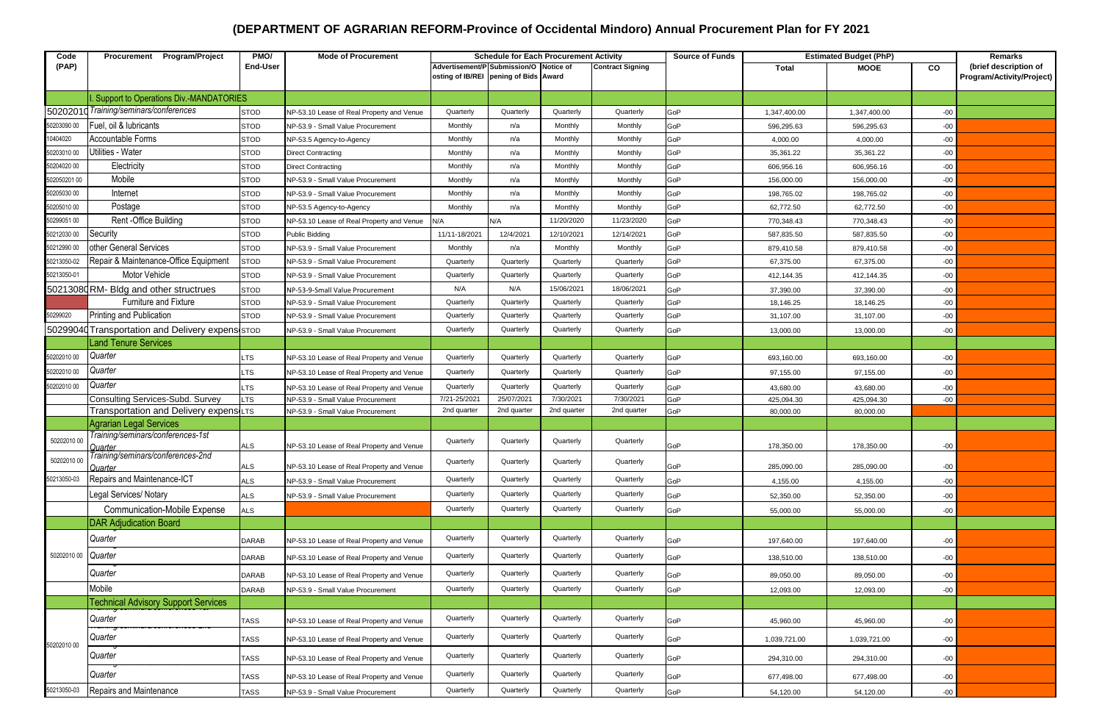## **(DEPARTMENT OF AGRARIAN REFORM-Province of Occidental Mindoro) Annual Procurement Plan for FY 2021**

| Code         | Procurement Program/Project                      | PMO/            | <b>Mode of Procurement</b>                | <b>Schedule for Each Procurement Activity</b> |             |             | <b>Source of Funds</b><br><b>Estimated Budget (PhP)</b> |     |              |              | Remarks   |                           |
|--------------|--------------------------------------------------|-----------------|-------------------------------------------|-----------------------------------------------|-------------|-------------|---------------------------------------------------------|-----|--------------|--------------|-----------|---------------------------|
| (PAP)        |                                                  | <b>End-User</b> |                                           | Advertisement/P Submission/O Notice of        |             |             | <b>Contract Signing</b>                                 |     | <b>Total</b> | <b>MOOE</b>  | <b>CO</b> | (brief description of     |
|              |                                                  |                 |                                           | osting of IB/REI pening of Bids Award         |             |             |                                                         |     |              |              |           | Program/Activity/Project) |
|              | Support to Operations Div.-MANDATORIES           |                 |                                           |                                               |             |             |                                                         |     |              |              |           |                           |
|              | 50202010 Training/seminars/conferences           | <b>STOD</b>     | NP-53.10 Lease of Real Property and Venue | Quarterly                                     | Quarterly   | Quarterly   | Quarterly                                               | GoP | 1,347,400.00 | 1,347,400.00 | $-00$     |                           |
| 50203090 00  | Fuel, oil & lubricants                           | <b>STOD</b>     | NP-53.9 - Small Value Procurement         | Monthly                                       | n/a         | Monthly     | Monthly                                                 | GoP | 596,295.63   | 596,295.63   | $-00$     |                           |
| 10404020     | Accountable Forms                                | <b>STOD</b>     | NP-53.5 Agency-to-Agency                  | Monthly                                       | n/a         | Monthly     | Monthly                                                 | GoP | 4,000.00     | 4,000.00     | $-00$     |                           |
| 50203010 00  | Utilities - Water                                | <b>STOD</b>     | <b>Direct Contracting</b>                 | Monthly                                       | n/a         | Monthly     | Monthly                                                 | GoP | 35,361.22    | 35,361.22    | $-00$     |                           |
| 50204020 00  | Electricity                                      | <b>STOD</b>     | <b>Direct Contracting</b>                 | Monthly                                       | n/a         | Monthly     | Monthly                                                 | GoP | 606,956.16   | 606,956.16   | $-00$     |                           |
| 502050201 00 | Mobile                                           | <b>STOD</b>     | NP-53.9 - Small Value Procurement         | Monthly                                       | n/a         | Monthly     | Monthly                                                 | GoP | 156,000.00   | 156,000.00   | $-00$     |                           |
| 50205030 00  | Internet                                         | <b>STOD</b>     | NP-53.9 - Small Value Procurement         | Monthly                                       | n/a         | Monthly     | Monthly                                                 | GoP | 198,765.02   | 198,765.02   | $-00$     |                           |
| 50205010 00  | Postage                                          | <b>STOD</b>     | NP-53.5 Agency-to-Agency                  | Monthly                                       | n/a         | Monthly     | Monthly                                                 | GoP | 62,772.50    | 62,772.50    | $-00$     |                           |
| 50299051 00  | Rent -Office Building                            | <b>STOD</b>     | NP-53.10 Lease of Real Property and Venue | N/A                                           | N/A         | 11/20/2020  | 11/23/2020                                              | GoP | 770,348.43   | 770,348.43   | $-00$     |                           |
| 50212030 00  | Security                                         | <b>STOD</b>     | Public Bidding                            | 11/11-18/2021                                 | 12/4/2021   | 12/10/2021  | 12/14/2021                                              | GoP | 587,835.50   | 587,835.50   | $-00$     |                           |
| 50212990 00  | other General Services                           | <b>STOD</b>     | NP-53.9 - Small Value Procurement         | Monthly                                       | n/a         | Monthly     | Monthly                                                 | GoP | 879,410.58   | 879,410.58   | $-00$     |                           |
| 50213050-02  | Repair & Maintenance-Office Equipment            | <b>STOD</b>     | NP-53.9 - Small Value Procurement         | Quarterly                                     | Quarterly   | Quarterly   | Quarterly                                               | GoP | 67,375.00    | 67,375.00    | $-00$     |                           |
| 50213050-01  | <b>Motor Vehicle</b>                             | <b>STOD</b>     | NP-53.9 - Small Value Procurement         | Quarterly                                     | Quarterly   | Quarterly   | Quarterly                                               | GoP | 412,144.35   | 412,144.35   | $-00$     |                           |
|              | 50213080RM- Bldg and other structrues            | <b>STOD</b>     | NP-53-9-Small Value Procurement           | N/A                                           | N/A         | 15/06/2021  | 18/06/2021                                              | GoP | 37,390.00    | 37,390.00    | $-00$     |                           |
|              | Furniture and Fixture                            | <b>STOD</b>     | NP-53.9 - Small Value Procurement         | Quarterly                                     | Quarterly   | Quarterly   | Quarterly                                               | GoP | 18,146.25    | 18,146.25    | $-00$     |                           |
| 50299020     | Printing and Publication                         | <b>STOD</b>     | NP-53.9 - Small Value Procurement         | Quarterly                                     | Quarterly   | Quarterly   | Quarterly                                               | GoP | 31,107.00    | 31,107.00    | $-00$     |                           |
|              | 50299040 Transportation and Delivery expens STOD |                 | NP-53.9 - Small Value Procurement         | Quarterly                                     | Quarterly   | Quarterly   | Quarterly                                               | GoP | 13,000.00    | 13,000.00    | $-00$     |                           |
|              | <b>Land Tenure Services</b>                      |                 |                                           |                                               |             |             |                                                         |     |              |              |           |                           |
| 50202010 00  | Quarter                                          | LTS             | NP-53.10 Lease of Real Property and Venue | Quarterly                                     | Quarterly   | Quarterly   | Quarterly                                               | GoP | 693,160.00   | 693,160.00   | $-00$     |                           |
| 50202010 00  | Quarter                                          | LTS             | NP-53.10 Lease of Real Property and Venue | Quarterly                                     | Quarterly   | Quarterly   | Quarterly                                               | GoP | 97,155.00    | 97,155.00    | $-00$     |                           |
| 50202010 00  | Quarter                                          | LTS             | NP-53.10 Lease of Real Property and Venue | Quarterly                                     | Quarterly   | Quarterly   | Quarterly                                               | GoP | 43,680.00    | 43,680.00    | $-00$     |                           |
|              | <b>Consulting Services-Subd. Survey</b>          | LTS             | NP-53.9 - Small Value Procurement         | 7/21-25/2021                                  | 25/07/2021  | 7/30/2021   | 7/30/2021                                               | GoP | 425,094.30   | 425,094.30   | $-00$     |                           |
|              | Transportation and Delivery expensites           |                 | NP-53.9 - Small Value Procurement         | 2nd quarter                                   | 2nd quarter | 2nd quarter | 2nd quarter                                             | GoP | 80,000.00    | 80,000.00    |           |                           |
|              | <b>Agrarian Legal Services</b>                   |                 |                                           |                                               |             |             |                                                         |     |              |              |           |                           |
| 50202010 00  | Training/seminars/conferences-1st<br>Quarter     | ALS             | NP-53.10 Lease of Real Property and Venue | Quarterly                                     | Quarterly   | Quarterly   | Quarterly                                               | GoP | 178,350.00   | 178,350.00   | $-00$     |                           |
| 50202010 00  | Training/seminars/conferences-2nd                |                 |                                           | Quarterly                                     | Quarterly   | Quarterly   | Quarterly                                               |     |              |              |           |                           |
| 50213050-03  | Quarter                                          | ALS             | NP-53.10 Lease of Real Property and Venue |                                               | Quarterly   | Quarterly   |                                                         | GoP | 285,090.00   | 285,090.00   | $-00$     |                           |
|              | Repairs and Maintenance-ICT                      | ALS             | NP-53.9 - Small Value Procurement         | Quarterly                                     |             |             | Quarterly                                               | GoP | 4,155.00     | 4,155.00     | -00       |                           |
|              | Legal Services/ Notary                           | ALS             | NP-53.9 - Small Value Procurement         | Quarterly                                     | Quarterly   | Quarterly   | Quarterly                                               | GoP | 52,350.00    | 52,350.00    | $-00$     |                           |
|              | <b>Communication-Mobile Expense</b>              | <b>ALS</b>      |                                           | Quarterly                                     | Quarterly   | Quarterly   | Quarterly                                               | GoP | 55,000.00    | 55,000.00    | $-00-$    |                           |
|              | <b>DAR Adjudication Board</b>                    |                 |                                           |                                               |             |             |                                                         |     |              |              |           |                           |
| 50202010 00  | Quarter                                          | DARAB           | NP-53.10 Lease of Real Property and Venue | Quarterly                                     | Quarterly   | Quarterly   | Quarterly                                               | GoP | 197,640.00   | 197,640.00   | $-00$     |                           |
|              | Quarter                                          | DARAB           | NP-53.10 Lease of Real Property and Venue | Quarterly                                     | Quarterly   | Quarterly   | Quarterly                                               | GoP | 138,510.00   | 138,510.00   | $-00$     |                           |
|              | Quarter                                          | DARAB           | NP-53.10 Lease of Real Property and Venue | Quarterly                                     | Quarterly   | Quarterly   | Quarterly                                               | GoP | 89,050.00    | 89,050.00    | $-00$     |                           |
|              | Mobile                                           | DARAB           | NP-53.9 - Small Value Procurement         | Quarterly                                     | Quarterly   | Quarterly   | Quarterly                                               | GoP | 12,093.00    | 12,093.00    | $-00$     |                           |
|              | <b>Technical Advisory Support Services</b>       |                 |                                           |                                               |             |             |                                                         |     |              |              |           |                           |
| 50202010 00  | Quarter                                          | <b>TASS</b>     | NP-53.10 Lease of Real Property and Venue | Quarterly                                     | Quarterly   | Quarterly   | Quarterly                                               | GoP | 45,960.00    | 45,960.00    | $-00$     |                           |
|              | Quarter                                          | <b>TASS</b>     | NP-53.10 Lease of Real Property and Venue | Quarterly                                     | Quarterly   | Quarterly   | Quarterly                                               | GoP | 1,039,721.00 | 1,039,721.00 | $-00$     |                           |
|              | Quarter                                          | <b>TASS</b>     | NP-53.10 Lease of Real Property and Venue | Quarterly                                     | Quarterly   | Quarterly   | Quarterly                                               | GoP | 294,310.00   | 294,310.00   | $-00$     |                           |
|              | Quarter                                          | <b>TASS</b>     | NP-53.10 Lease of Real Property and Venue | Quarterly                                     | Quarterly   | Quarterly   | Quarterly                                               | GoP | 677,498.00   | 677,498.00   | $-00$     |                           |
| 50213050-03  | Repairs and Maintenance                          | <b>TASS</b>     | NP-53.9 - Small Value Procurement         | Quarterly                                     | Quarterly   | Quarterly   | Quarterly                                               | GoP | 54,120.00    | 54,120.00    | $-00$     |                           |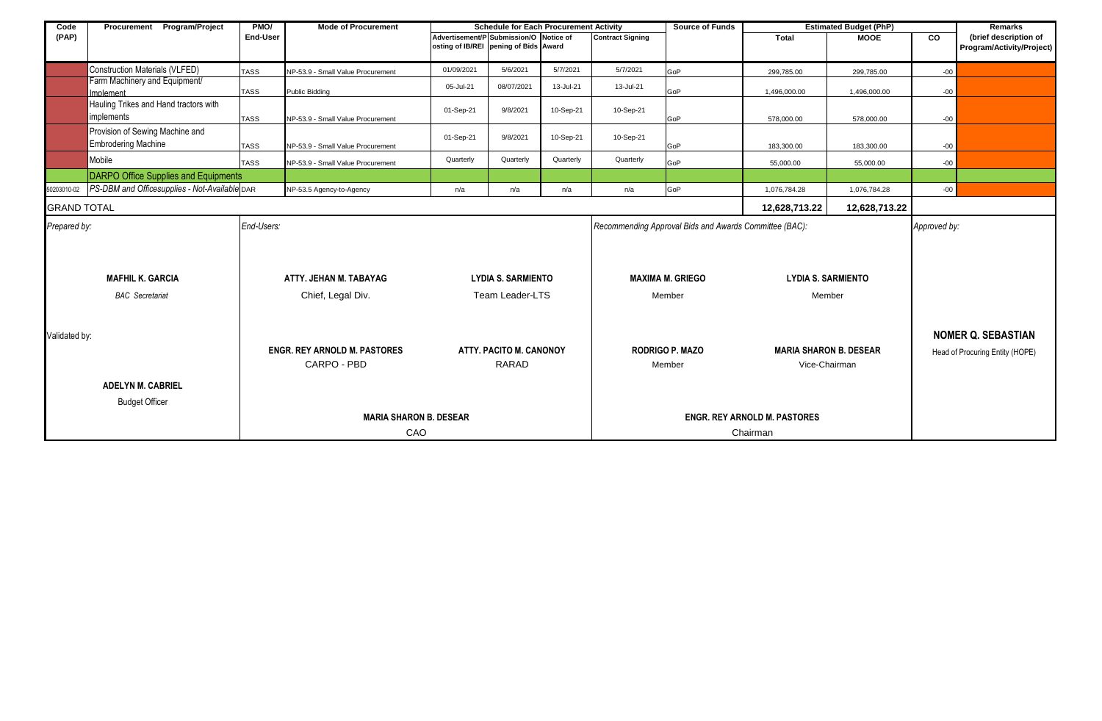| Code                    | Procurement Program/Project                         | PMO/                          | <b>Mode of Procurement</b>        | <b>Schedule for Each Procurement Activity</b>                                   |                                     |                         |                                                        | <b>Source of Funds</b><br><b>Estimated Budget (PhP)</b> |               |               |                                 | Remarks                   |
|-------------------------|-----------------------------------------------------|-------------------------------|-----------------------------------|---------------------------------------------------------------------------------|-------------------------------------|-------------------------|--------------------------------------------------------|---------------------------------------------------------|---------------|---------------|---------------------------------|---------------------------|
| (PAP)                   |                                                     | End-User                      |                                   | Advertisement/P Submission/O Notice of<br>osting of IB/REI pening of Bids Award |                                     | <b>Contract Signing</b> |                                                        | Total                                                   | <b>MOOE</b>   | <b>CO</b>     | (brief description of           |                           |
|                         |                                                     |                               |                                   |                                                                                 |                                     |                         |                                                        |                                                         |               |               |                                 | Program/Activity/Project) |
|                         | <b>Construction Materials (VLFED)</b>               | <b>TASS</b>                   | NP-53.9 - Small Value Procurement | 01/09/2021                                                                      | 5/6/2021                            | 5/7/2021                | 5/7/2021                                               | GoP                                                     | 299,785.00    | 299,785.00    | $-00$                           |                           |
|                         | Farm Machinery and Equipment/                       |                               |                                   | 05-Jul-21                                                                       | 08/07/2021                          | 13-Jul-21               | 13-Jul-21                                              |                                                         |               |               |                                 |                           |
|                         | Implement                                           | <b>TASS</b>                   | Public Bidding                    |                                                                                 |                                     |                         |                                                        | GoP                                                     | 1,496,000.00  | 1,496,000.00  | $-00$                           |                           |
|                         | Hauling Trikes and Hand tractors with<br>implements |                               |                                   | 01-Sep-21                                                                       | 9/8/2021                            | 10-Sep-21               | 10-Sep-21                                              |                                                         |               |               |                                 |                           |
|                         |                                                     | <b>TASS</b>                   | NP-53.9 - Small Value Procurement |                                                                                 |                                     |                         |                                                        | GoP                                                     | 578,000.00    | 578,000.00    | $-00$                           |                           |
|                         | Provision of Sewing Machine and                     |                               |                                   | 01-Sep-21                                                                       | 9/8/2021                            | 10-Sep-21               | 10-Sep-21                                              |                                                         |               |               |                                 |                           |
|                         | <b>Embrodering Machine</b>                          | <b>TASS</b>                   | NP-53.9 - Small Value Procurement |                                                                                 |                                     |                         |                                                        | GoP                                                     | 183,300.00    | 183,300.00    | $-00$                           |                           |
|                         | Mobile                                              | <b>TASS</b>                   | NP-53.9 - Small Value Procurement | Quarterly                                                                       | Quarterly                           | Quarterly               | Quarterly                                              | GoP                                                     | 55,000.00     | 55,000.00     | $-00$                           |                           |
|                         | <b>DARPO Office Supplies and Equipments</b>         |                               |                                   |                                                                                 |                                     |                         |                                                        |                                                         |               |               |                                 |                           |
| 50203010-02             | PS-DBM and Officesupplies - Not-Available DAR       |                               | NP-53.5 Agency-to-Agency          | n/a                                                                             | n/a                                 | n/a                     | n/a                                                    | GoP                                                     | 1,076,784.28  | 1,076,784.28  | $-00$                           |                           |
| <b>GRAND TOTAL</b>      |                                                     |                               |                                   |                                                                                 |                                     |                         |                                                        |                                                         | 12,628,713.22 | 12,628,713.22 |                                 |                           |
| Prepared by:            |                                                     | End-Users:                    |                                   |                                                                                 |                                     |                         | Recommending Approval Bids and Awards Committee (BAC): |                                                         |               | Approved by:  |                                 |                           |
|                         |                                                     |                               |                                   |                                                                                 |                                     |                         |                                                        |                                                         |               |               |                                 |                           |
|                         |                                                     |                               |                                   |                                                                                 |                                     |                         |                                                        |                                                         |               |               |                                 |                           |
| <b>MAFHIL K. GARCIA</b> |                                                     | ATTY. JEHAN M. TABAYAG        |                                   | <b>LYDIA S. SARMIENTO</b>                                                       |                                     | <b>MAXIMA M. GRIEGO</b> |                                                        | <b>LYDIA S. SARMIENTO</b>                               |               |               |                                 |                           |
| <b>BAC</b> Secretariat  |                                                     |                               | Chief, Legal Div.                 |                                                                                 | Team Leader-LTS                     |                         | Member                                                 |                                                         | Member        |               |                                 |                           |
|                         |                                                     |                               |                                   |                                                                                 |                                     |                         |                                                        |                                                         |               |               |                                 |                           |
|                         |                                                     |                               |                                   |                                                                                 |                                     |                         |                                                        |                                                         |               |               |                                 |                           |
| Validated by:           |                                                     |                               |                                   |                                                                                 |                                     |                         |                                                        |                                                         |               |               | <b>NOMER Q. SEBASTIAN</b>       |                           |
|                         | <b>ENGR. REY ARNOLD M. PASTORES</b>                 |                               | ATTY, PACITO M. CANONOY           |                                                                                 |                                     | <b>RODRIGO P. MAZO</b>  |                                                        | <b>MARIA SHARON B. DESEAR</b>                           |               |               | Head of Procuring Entity (HOPE) |                           |
|                         | CARPO - PBD                                         |                               | <b>RARAD</b>                      |                                                                                 | Member                              |                         | Vice-Chairman                                          |                                                         |               |               |                                 |                           |
|                         | <b>ADELYN M. CABRIEL</b>                            |                               |                                   |                                                                                 |                                     |                         |                                                        |                                                         |               |               |                                 |                           |
|                         |                                                     |                               |                                   |                                                                                 |                                     |                         |                                                        |                                                         |               |               |                                 |                           |
|                         | <b>Budget Officer</b>                               |                               |                                   |                                                                                 |                                     |                         |                                                        |                                                         |               |               |                                 |                           |
|                         |                                                     | <b>MARIA SHARON B. DESEAR</b> |                                   |                                                                                 | <b>ENGR. REY ARNOLD M. PASTORES</b> |                         |                                                        |                                                         |               |               |                                 |                           |
|                         |                                                     |                               | CAO                               |                                                                                 |                                     |                         | Chairman                                               |                                                         |               |               |                                 |                           |